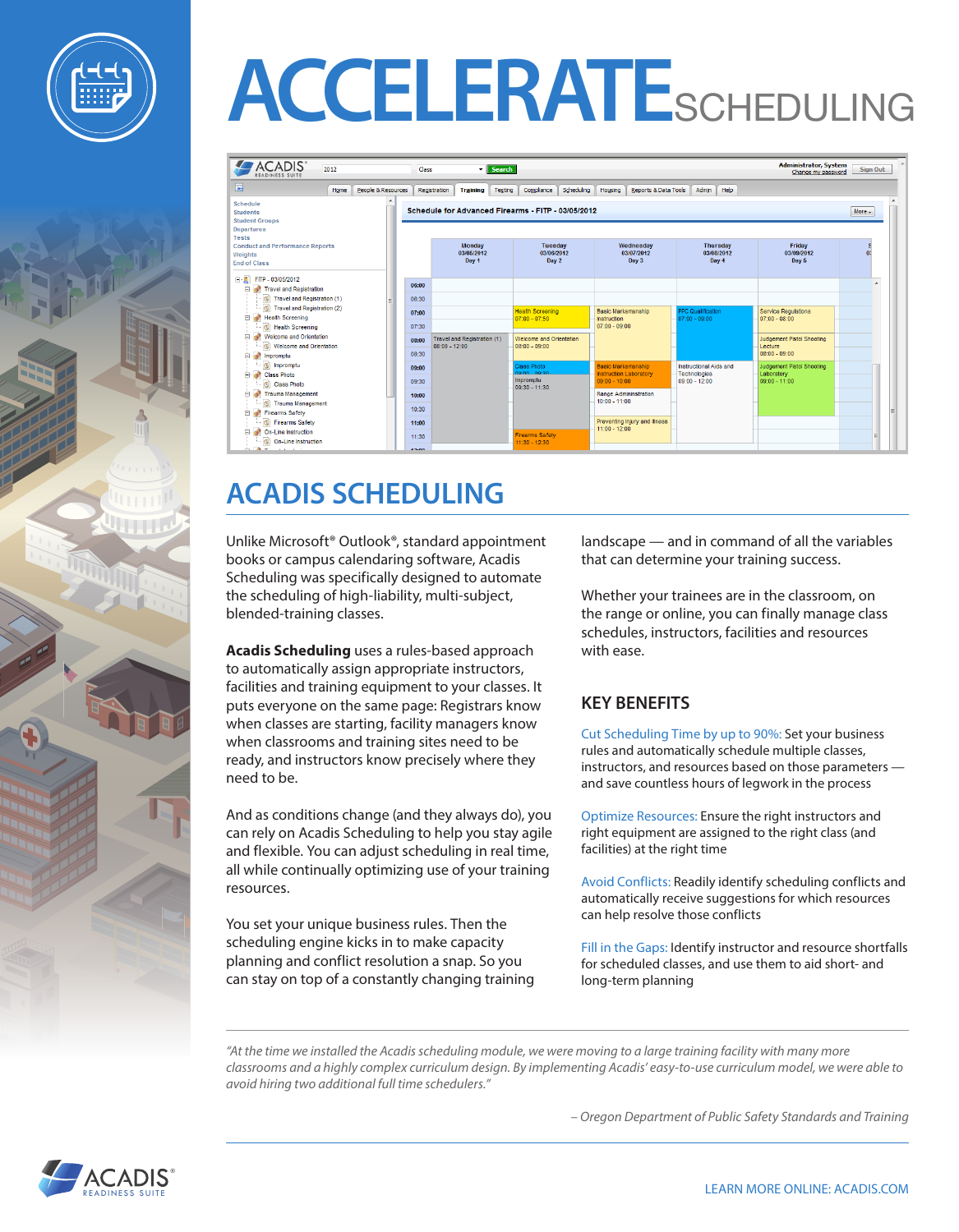



| <b>ACADIS</b> <sup>®</sup><br>2012<br><b>READINESS SUITE</b>                             |                    |  | Class        | <b>v</b> Search                                |                                                    |                                                            | <b>Administrator, System</b><br>Sign Out<br>Change my password |                                               |                |
|------------------------------------------------------------------------------------------|--------------------|--|--------------|------------------------------------------------|----------------------------------------------------|------------------------------------------------------------|----------------------------------------------------------------|-----------------------------------------------|----------------|
| 雇<br>Home                                                                                | People & Resources |  | Registration | <b>Training</b><br>Testing                     | Compliance<br>Scheduling                           | Housing<br>Reports & Data Tools                            | Help<br>Admin                                                  |                                               |                |
| Schedule<br><b>Students</b><br><b>Student Groups</b><br><b>Departures</b>                |                    |  |              |                                                | Schedule for Advanced Firearms - FITP - 03/05/2012 |                                                            |                                                                |                                               | More $\star$   |
| <b>Tests</b><br><b>Conduct and Performance Reports</b><br>Weights<br><b>End of Class</b> |                    |  |              | <b>Monday</b><br>03/05/2012<br>Day 1           | Tuesday<br>03/06/2012<br>Day 2                     | Wednesdav<br>03/07/2012<br>Day 3                           | <b>Thursday</b><br>03/08/2012<br>Day 4                         | Friday<br>03/09/2012<br>Day 5                 | 0 <sup>1</sup> |
| $\Box$ FITP - 03/05/2012<br>Travel and Registration                                      |                    |  | 06:00        |                                                |                                                    |                                                            |                                                                |                                               |                |
| Travel and Registration (1)<br>$\sigma$                                                  |                    |  | 06:30        |                                                |                                                    |                                                            |                                                                |                                               |                |
| Travel and Registration (2)<br><b>B</b><br><b>Health Screening</b>                       |                    |  | 07:00        |                                                | <b>Health Screening</b><br>$07:00 - 07:50$         | <b>Basic Marksmanship</b><br>Instruction                   | <b>PPC Qualification</b><br>$07:00 - 09:00$                    | <b>Service Requlations</b><br>$07:00 - 08:00$ |                |
| $\bullet$<br><b>Health Screening</b><br>Welcome and Orientation                          |                    |  | 07:30        |                                                |                                                    | $07:00 - 09:00$                                            |                                                                |                                               |                |
| $\sigma$<br>Welcome and Orientation                                                      |                    |  | 08:00        | Travel and Registration (1)<br>$08:00 - 12:00$ | Welcome and Orientation<br>$08:00 - 09:00$         |                                                            |                                                                | <b>Judgement Pistol Shooting</b><br>Lecture   |                |
| mpromptu                                                                                 |                    |  | 08:30        |                                                |                                                    |                                                            |                                                                | $08:00 - 09:00$                               |                |
| $\mathbf{G}$<br>Impromptu<br>Class Photo                                                 |                    |  | 09:00        |                                                | <b>Class Photo</b><br>no-nn no-20                  | <b>Basic Marksmanship</b><br><b>Instruction Laboratory</b> | Instructional Aids and<br><b>Technologies</b>                  | Judgement Pistol Shooting<br>Laboratory       |                |
| Class Photo                                                                              |                    |  | 09:30        |                                                | Impromptu<br>09:30 - 11:30                         | $09:00 - 10:00$                                            | $09:00 - 12:00$                                                | $09:00 - 11:00$                               |                |
| Fight Trauma Management                                                                  |                    |  | 10:00        |                                                |                                                    | Range Admininstration<br>$10:00 - 11:00$                   |                                                                |                                               |                |
| <b>C</b> Trauma Management<br>Firearms Safety<br>中                                       |                    |  | 10:30        |                                                |                                                    |                                                            |                                                                |                                               |                |
| $\sigma$<br><b>Firearms Safety</b>                                                       |                    |  | 11:00        |                                                |                                                    | Preventing Injury and Illness                              |                                                                |                                               |                |
| $\mathcal{L}$<br>On-Line Instruction<br>F.<br>On-Line Instruction                        |                    |  | 11:30        |                                                | <b>Firearms Safety</b><br>$11:30 - 12:30$          | $11:00 - 12:00$                                            |                                                                |                                               |                |
| in The masses a second                                                                   |                    |  | 12.00        |                                                |                                                    |                                                            |                                                                |                                               |                |

## **ACADIS SCHEDULING**

Unlike Microsoft® Outlook®, standard appointment books or campus calendaring software, Acadis Scheduling was specifically designed to automate the scheduling of high-liability, multi-subject, blended-training classes.

**Acadis Scheduling** uses a rules-based approach to automatically assign appropriate instructors, facilities and training equipment to your classes. It puts everyone on the same page: Registrars know when classes are starting, facility managers know when classrooms and training sites need to be ready, and instructors know precisely where they need to be.

And as conditions change (and they always do), you can rely on Acadis Scheduling to help you stay agile and flexible. You can adjust scheduling in real time, all while continually optimizing use of your training resources.

You set your unique business rules. Then the scheduling engine kicks in to make capacity planning and conflict resolution a snap. So you can stay on top of a constantly changing training landscape — and in command of all the variables that can determine your training success.

Whether your trainees are in the classroom, on the range or online, you can finally manage class schedules, instructors, facilities and resources with ease.

#### **KEY BENEFITS**

Cut Scheduling Time by up to 90%: Set your business rules and automatically schedule multiple classes, instructors, and resources based on those parameters and save countless hours of legwork in the process

Optimize Resources: Ensure the right instructors and right equipment are assigned to the right class (and facilities) at the right time

Avoid Conflicts: Readily identify scheduling conflicts and automatically receive suggestions for which resources can help resolve those conflicts

Fill in the Gaps: Identify instructor and resource shortfalls for scheduled classes, and use them to aid short- and long-term planning

*"At the time we installed the Acadis scheduling module, we were moving to a large training facility with many more classrooms and a highly complex curriculum design. By implementing Acadis' easy-to-use curriculum model, we were able to avoid hiring two additional full time schedulers."*

*– Oregon Department of Public Safety Standards and Training*